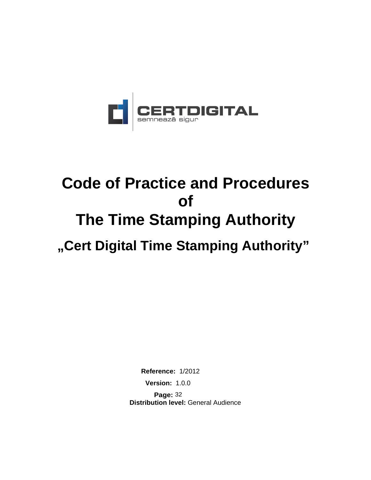

# **Code of Practice and Procedures of The Time Stamping Authority**

**"Cert Digital Time Stamping Authority"**

**Reference:** 1/2012 **Version:** 1.0.0

**Page:** 32 **Distribution level:** General Audience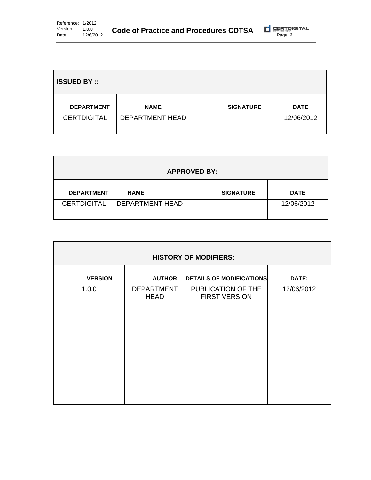| <b>ISSUED BY ::</b> |                 |                  |             |
|---------------------|-----------------|------------------|-------------|
| <b>DEPARTMENT</b>   | <b>NAME</b>     | <b>SIGNATURE</b> | <b>DATE</b> |
| <b>CERTDIGITAL</b>  | DEPARTMENT HEAD |                  | 12/06/2012  |

| <b>APPROVED BY:</b> |                          |                  |             |
|---------------------|--------------------------|------------------|-------------|
| <b>DEPARTMENT</b>   | <b>NAME</b>              | <b>SIGNATURE</b> | <b>DATE</b> |
| <b>CERTDIGITAL</b>  | <b>DEPARTMENT HEAD I</b> |                  | 12/06/2012  |

| <b>HISTORY OF MODIFIERS:</b> |                                  |                                            |            |
|------------------------------|----------------------------------|--------------------------------------------|------------|
|                              |                                  |                                            |            |
| <b>VERSION</b>               | <b>AUTHOR</b>                    | <b>DETAILS OF MODIFICATIONS</b>            | DATE:      |
| 1.0.0                        | <b>DEPARTMENT</b><br><b>HEAD</b> | PUBLICATION OF THE<br><b>FIRST VERSION</b> | 12/06/2012 |
|                              |                                  |                                            |            |
|                              |                                  |                                            |            |
|                              |                                  |                                            |            |
|                              |                                  |                                            |            |
|                              |                                  |                                            |            |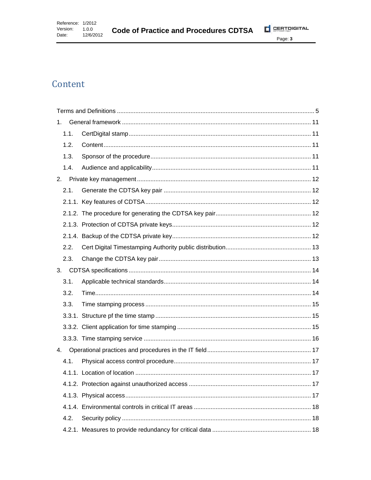**Code of Practice and Procedures CDTSA** 



# Content

| 1.   |  |
|------|--|
| 1.1. |  |
| 1.2. |  |
| 1.3. |  |
| 1.4. |  |
| 2.   |  |
| 2.1. |  |
|      |  |
|      |  |
|      |  |
|      |  |
| 2.2. |  |
| 2.3. |  |
| 3.   |  |
| 3.1. |  |
| 3.2. |  |
| 3.3. |  |
|      |  |
|      |  |
|      |  |
| 4.   |  |
| 4.1. |  |
|      |  |
|      |  |
|      |  |
|      |  |
| 4.2. |  |
|      |  |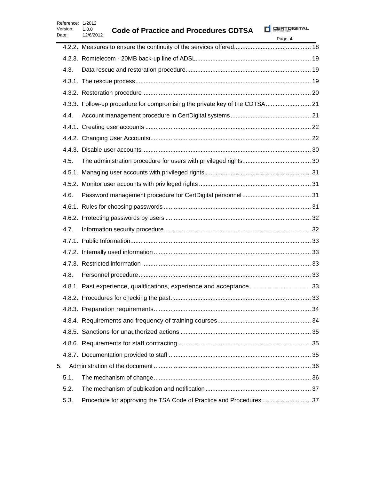| Reference: 1/2012<br>Version:<br>Date: | 1.0.0<br><b>Code of Practice and Procedures CDTSA</b><br>12/6/2012          | <b>CERTDIGITAL</b><br>Page: 4 |
|----------------------------------------|-----------------------------------------------------------------------------|-------------------------------|
|                                        |                                                                             |                               |
|                                        |                                                                             |                               |
| 4.3.                                   |                                                                             |                               |
|                                        |                                                                             |                               |
|                                        |                                                                             |                               |
|                                        | 4.3.3. Follow-up procedure for compromising the private key of the CDTSA 21 |                               |
| 4.4.                                   |                                                                             |                               |
|                                        |                                                                             |                               |
|                                        |                                                                             |                               |
|                                        |                                                                             |                               |
| 4.5.                                   |                                                                             |                               |
|                                        |                                                                             |                               |
|                                        |                                                                             |                               |
| 4.6.                                   |                                                                             |                               |
|                                        |                                                                             |                               |
|                                        |                                                                             |                               |
| 4.7.                                   |                                                                             |                               |
|                                        |                                                                             |                               |
|                                        |                                                                             |                               |
|                                        |                                                                             |                               |
| 4.8.                                   |                                                                             |                               |
|                                        | 4.8.1. Past experience, qualifications, experience and acceptance 33        |                               |
|                                        |                                                                             |                               |
|                                        |                                                                             |                               |
|                                        |                                                                             |                               |
|                                        |                                                                             |                               |
|                                        |                                                                             |                               |
|                                        |                                                                             |                               |
| 5.                                     |                                                                             |                               |
| 5.1.                                   |                                                                             |                               |
| 5.2.                                   |                                                                             |                               |
| 5.3.                                   |                                                                             |                               |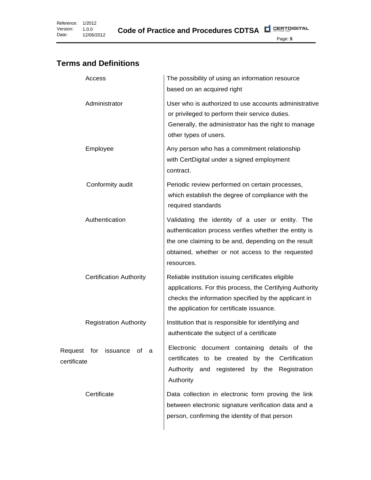# <span id="page-4-0"></span>**Terms and Definitions**

| Access                                         | The possibility of using an information resource<br>based on an acquired right                                                                                                                                                     |
|------------------------------------------------|------------------------------------------------------------------------------------------------------------------------------------------------------------------------------------------------------------------------------------|
| Administrator                                  | User who is authorized to use accounts administrative<br>or privileged to perform their service duties.<br>Generally, the administrator has the right to manage<br>other types of users.                                           |
| Employee                                       | Any person who has a commitment relationship<br>with CertDigital under a signed employment<br>contract.                                                                                                                            |
| Conformity audit                               | Periodic review performed on certain processes,<br>which establish the degree of compliance with the<br>required standards                                                                                                         |
| Authentication                                 | Validating the identity of a user or entity. The<br>authentication process verifies whether the entity is<br>the one claiming to be and, depending on the result<br>obtained, whether or not access to the requested<br>resources. |
| <b>Certification Authority</b>                 | Reliable institution issuing certificates eligible<br>applications. For this process, the Certifying Authority<br>checks the information specified by the applicant in<br>the application for certificate issuance.                |
| <b>Registration Authority</b>                  | Institution that is responsible for identifying and<br>authenticate the subject of a certificate                                                                                                                                   |
| Request for<br>issuance<br>of a<br>certificate | Electronic document containing details of the<br>certificates to be created by the Certification<br>Authority and registered<br>by the<br>Registration<br>Authority                                                                |
| Certificate                                    | Data collection in electronic form proving the link<br>between electronic signature verification data and a<br>person, confirming the identity of that person                                                                      |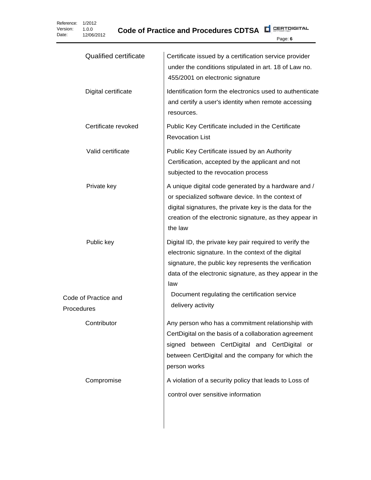| <b>Qualified certificate</b>       | Certificate issued by a certification service provider<br>under the conditions stipulated in art. 18 of Law no.<br>455/2001 on electronic signature                                                                                       |
|------------------------------------|-------------------------------------------------------------------------------------------------------------------------------------------------------------------------------------------------------------------------------------------|
| Digital certificate                | Identification form the electronics used to authenticate<br>and certify a user's identity when remote accessing<br>resources.                                                                                                             |
| Certificate revoked                | Public Key Certificate included in the Certificate<br><b>Revocation List</b>                                                                                                                                                              |
| Valid certificate                  | Public Key Certificate issued by an Authority<br>Certification, accepted by the applicant and not<br>subjected to the revocation process                                                                                                  |
| Private key                        | A unique digital code generated by a hardware and /<br>or specialized software device. In the context of<br>digital signatures, the private key is the data for the<br>creation of the electronic signature, as they appear in<br>the law |
| Public key                         | Digital ID, the private key pair required to verify the<br>electronic signature. In the context of the digital<br>signature, the public key represents the verification<br>data of the electronic signature, as they appear in the<br>law |
| Code of Practice and<br>Procedures | Document regulating the certification service<br>delivery activity                                                                                                                                                                        |
| Contributor                        | Any person who has a commitment relationship with<br>CertDigital on the basis of a collaboration agreement<br>signed between CertDigital and CertDigital or<br>between CertDigital and the company for which the<br>person works          |
| Compromise                         | A violation of a security policy that leads to Loss of<br>control over sensitive information                                                                                                                                              |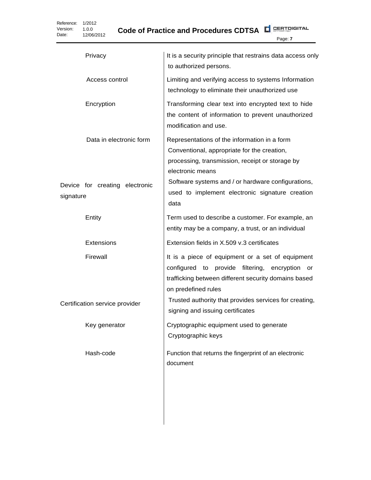Reference: 1/2012 Version: Date: 1.0.0 12/06/2012

**CERTOIGITAL Code of Practice and Procedures CDTSA**

Page: **7** Privacy **It is a security principle that restrains data access only** to authorized persons. Access control Limiting and verifying access to systems Information technology to eliminate their unauthorized use Encryption Transforming clear text into encrypted text to hide the content of information to prevent unauthorized modification and use. Data in electronic form  $\Box$  Representations of the information in a form Conventional, appropriate for the creation, processing, transmission, receipt or storage by electronic means Device for creating electronic signature Software systems and / or hardware configurations, used to implement electronic signature creation data Entity **Term used to describe a customer.** For example, an entity may be a company, a trust, or an individual Extensions Extension fields in X.509 v.3 certificates Firewall  $\vert$  It is a piece of equipment or a set of equipment configured to provide filtering, encryption or trafficking between different security domains based on predefined rules Certification service provider **Trusted authority that provides services for creating**, signing and issuing certificates Key generator **Cryptographic equipment used to generate** Cryptographic keys Hash-code Function that returns the fingerprint of an electronic document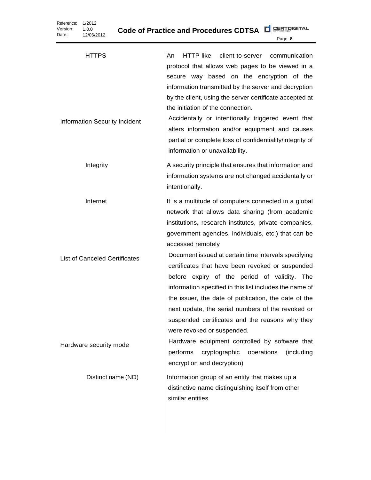**Code of Practice and Procedures CDTSA**

| <b>HTTPS</b>                                     | HTTP-like<br>client-to-server<br>An<br>communication<br>protocol that allows web pages to be viewed in a<br>secure way based on the encryption of the<br>information transmitted by the server and decryption<br>by the client, using the server certificate accepted at<br>the initiation of the connection.<br>Accidentally or intentionally triggered event that                                                                                                                                                                                                                                                                                               |
|--------------------------------------------------|-------------------------------------------------------------------------------------------------------------------------------------------------------------------------------------------------------------------------------------------------------------------------------------------------------------------------------------------------------------------------------------------------------------------------------------------------------------------------------------------------------------------------------------------------------------------------------------------------------------------------------------------------------------------|
| Information Security Incident                    | alters information and/or equipment and causes<br>partial or complete loss of confidentiality/integrity of<br>information or unavailability.                                                                                                                                                                                                                                                                                                                                                                                                                                                                                                                      |
| Integrity                                        | A security principle that ensures that information and<br>information systems are not changed accidentally or<br>intentionally.                                                                                                                                                                                                                                                                                                                                                                                                                                                                                                                                   |
| Internet<br><b>List of Canceled Certificates</b> | It is a multitude of computers connected in a global<br>network that allows data sharing (from academic<br>institutions, research institutes, private companies,<br>government agencies, individuals, etc.) that can be<br>accessed remotely<br>Document issued at certain time intervals specifying<br>certificates that have been revoked or suspended<br>before expiry of the period of validity. The<br>information specified in this list includes the name of<br>the issuer, the date of publication, the date of the<br>next update, the serial numbers of the revoked or<br>suspended certificates and the reasons why they<br>were revoked or suspended. |
| Hardware security mode                           | Hardware equipment controlled by software that<br>performs<br>cryptographic<br>(including<br>operations<br>encryption and decryption)                                                                                                                                                                                                                                                                                                                                                                                                                                                                                                                             |
| Distinct name (ND)                               | Information group of an entity that makes up a<br>distinctive name distinguishing itself from other<br>similar entities                                                                                                                                                                                                                                                                                                                                                                                                                                                                                                                                           |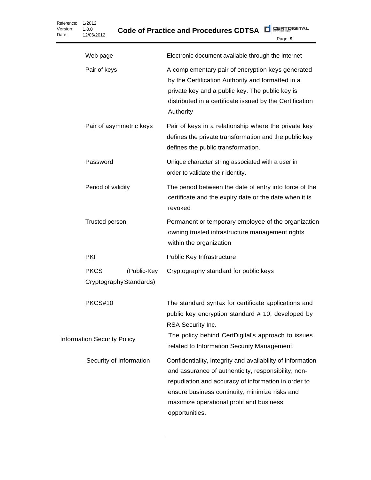|                                    | Web page                                              | Electronic document available through the Internet                                                                                                                                                                                                                                       |
|------------------------------------|-------------------------------------------------------|------------------------------------------------------------------------------------------------------------------------------------------------------------------------------------------------------------------------------------------------------------------------------------------|
|                                    | Pair of keys                                          | A complementary pair of encryption keys generated<br>by the Certification Authority and formatted in a<br>private key and a public key. The public key is<br>distributed in a certificate issued by the Certification<br>Authority                                                       |
|                                    | Pair of asymmetric keys                               | Pair of keys in a relationship where the private key<br>defines the private transformation and the public key<br>defines the public transformation.                                                                                                                                      |
|                                    | Password                                              | Unique character string associated with a user in<br>order to validate their identity.                                                                                                                                                                                                   |
|                                    | Period of validity                                    | The period between the date of entry into force of the<br>certificate and the expiry date or the date when it is<br>revoked                                                                                                                                                              |
|                                    | <b>Trusted person</b>                                 | Permanent or temporary employee of the organization<br>owning trusted infrastructure management rights<br>within the organization                                                                                                                                                        |
|                                    | PKI                                                   | Public Key Infrastructure                                                                                                                                                                                                                                                                |
|                                    | <b>PKCS</b><br>(Public-Key<br>Cryptography Standards) | Cryptography standard for public keys                                                                                                                                                                                                                                                    |
|                                    | PKCS#10                                               | The standard syntax for certificate applications and<br>public key encryption standard # 10, developed by<br>RSA Security Inc.<br>The policy behind CertDigital's approach to issues                                                                                                     |
| <b>Information Security Policy</b> |                                                       | related to Information Security Management.                                                                                                                                                                                                                                              |
|                                    | Security of Information                               | Confidentiality, integrity and availability of information<br>and assurance of authenticity, responsibility, non-<br>repudiation and accuracy of information in order to<br>ensure business continuity, minimize risks and<br>maximize operational profit and business<br>opportunities. |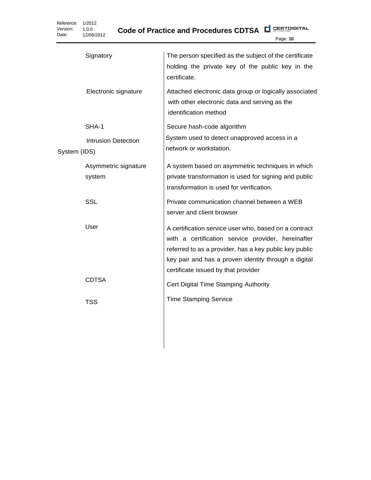**Code of Practice and Procedures CDTSA**

| Signatory                                  | The person specified as the subject of the certificate<br>holding the private key of the public key in the<br>certificate.                                                                                                                                           |
|--------------------------------------------|----------------------------------------------------------------------------------------------------------------------------------------------------------------------------------------------------------------------------------------------------------------------|
| Electronic signature                       | Attached electronic data group or logically associated<br>with other electronic data and serving as the<br>identification method                                                                                                                                     |
| SHA-1                                      | Secure hash-code algorithm                                                                                                                                                                                                                                           |
| <b>Intrusion Detection</b><br>System (IDS) | System used to detect unapproved access in a<br>network or workstation.                                                                                                                                                                                              |
| Asymmetric signature<br>system             | A system based on asymmetric techniques in which<br>private transformation is used for signing and public<br>transformation is used for verification.                                                                                                                |
| <b>SSL</b>                                 | Private communication channel between a WEB<br>server and client browser                                                                                                                                                                                             |
| User                                       | A certification service user who, based on a contract<br>with a certification service provider, hereinafter<br>referred to as a provider, has a key public key public<br>key pair and has a proven identity through a digital<br>certificate issued by that provider |
| <b>CDTSA</b>                               | Cert Digital Time Stamping Authority                                                                                                                                                                                                                                 |
| TSS                                        | <b>Time Stamping Service</b>                                                                                                                                                                                                                                         |
|                                            |                                                                                                                                                                                                                                                                      |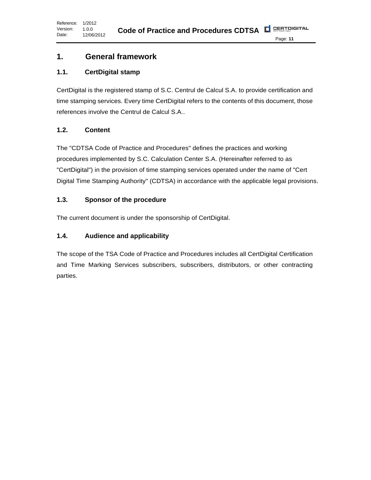# <span id="page-10-0"></span>**1. General framework**

# <span id="page-10-1"></span>**1.1. CertDigital stamp**

CertDigital is the registered stamp of S.C. Centrul de Calcul S.A. to provide certification and time stamping services. Every time CertDigital refers to the contents of this document, those references involve the Centrul de Calcul S.A..

# <span id="page-10-2"></span>**1.2. Content**

The "CDTSA Code of Practice and Procedures" defines the practices and working procedures implemented by S.C. Calculation Center S.A. (Hereinafter referred to as "CertDigital") in the provision of time stamping services operated under the name of "Cert Digital Time Stamping Authority" (CDTSA) in accordance with the applicable legal provisions.

# <span id="page-10-3"></span>**1.3. Sponsor of the procedure**

The current document is under the sponsorship of CertDigital.

# <span id="page-10-4"></span>**1.4. Audience and applicability**

The scope of the TSA Code of Practice and Procedures includes all CertDigital Certification and Time Marking Services subscribers, subscribers, distributors, or other contracting parties.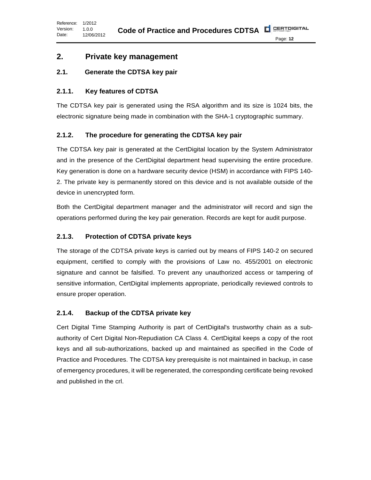# <span id="page-11-0"></span>**2. Private key management**

#### <span id="page-11-1"></span>**2.1. Generate the CDTSA key pair**

#### <span id="page-11-2"></span>**2.1.1. Key features of CDTSA**

The CDTSA key pair is generated using the RSA algorithm and its size is 1024 bits, the electronic signature being made in combination with the SHA-1 cryptographic summary.

#### <span id="page-11-3"></span>**2.1.2. The procedure for generating the CDTSA key pair**

The CDTSA key pair is generated at the CertDigital location by the System Administrator and in the presence of the CertDigital department head supervising the entire procedure. Key generation is done on a hardware security device (HSM) in accordance with FIPS 140- 2. The private key is permanently stored on this device and is not available outside of the device in unencrypted form.

Both the CertDigital department manager and the administrator will record and sign the operations performed during the key pair generation. Records are kept for audit purpose.

#### <span id="page-11-4"></span>**2.1.3. Protection of CDTSA private keys**

The storage of the CDTSA private keys is carried out by means of FIPS 140-2 on secured equipment, certified to comply with the provisions of Law no. 455/2001 on electronic signature and cannot be falsified. To prevent any unauthorized access or tampering of sensitive information, CertDigital implements appropriate, periodically reviewed controls to ensure proper operation.

#### <span id="page-11-5"></span>**2.1.4. Backup of the CDTSA private key**

Cert Digital Time Stamping Authority is part of CertDigital's trustworthy chain as a subauthority of Cert Digital Non-Repudiation CA Class 4. CertDigital keeps a copy of the root keys and all sub-authorizations, backed up and maintained as specified in the Code of Practice and Procedures. The CDTSA key prerequisite is not maintained in backup, in case of emergency procedures, it will be regenerated, the corresponding certificate being revoked and published in the crl.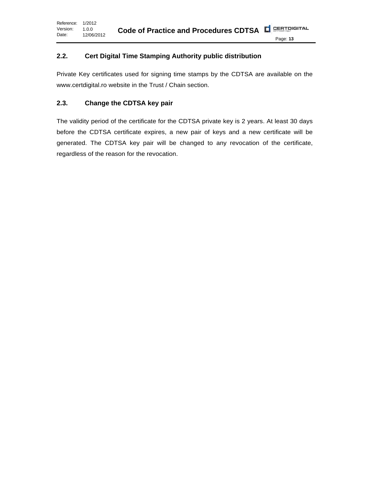#### <span id="page-12-0"></span>**2.2. Cert Digital Time Stamping Authority public distribution**

Private Key certificates used for signing time stamps by the CDTSA are available on the www.certdigital.ro website in the Trust / Chain section.

#### <span id="page-12-1"></span>**2.3. Change the CDTSA key pair**

The validity period of the certificate for the CDTSA private key is 2 years. At least 30 days before the CDTSA certificate expires, a new pair of keys and a new certificate will be generated. The CDTSA key pair will be changed to any revocation of the certificate, regardless of the reason for the revocation.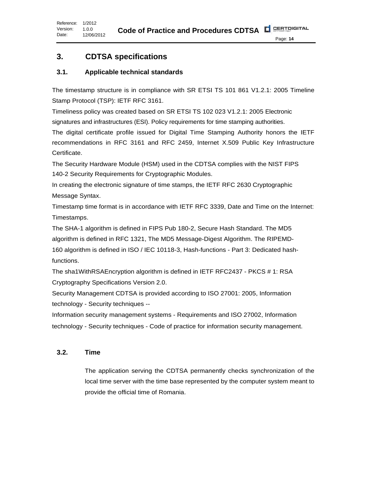# <span id="page-13-0"></span>**3. CDTSA specifications**

# <span id="page-13-1"></span>**3.1. Applicable technical standards**

The timestamp structure is in compliance with SR ETSI TS 101 861 V1.2.1: 2005 Timeline Stamp Protocol (TSP): IETF RFC 3161.

Timeliness policy was created based on SR ETSI TS 102 023 V1.2.1: 2005 Electronic signatures and infrastructures (ESI). Policy requirements for time stamping authorities.

The digital certificate profile issued for Digital Time Stamping Authority honors the IETF recommendations in RFC 3161 and RFC 2459, Internet X.509 Public Key Infrastructure Certificate.

The Security Hardware Module (HSM) used in the CDTSA complies with the NIST FIPS 140-2 Security Requirements for Cryptographic Modules.

In creating the electronic signature of time stamps, the IETF RFC 2630 Cryptographic Message Syntax.

Timestamp time format is in accordance with IETF RFC 3339, Date and Time on the Internet: Timestamps.

The SHA-1 algorithm is defined in FIPS Pub 180-2, Secure Hash Standard. The MD5 algorithm is defined in RFC 1321, The MD5 Message-Digest Algorithm. The RIPEMD-160 algorithm is defined in ISO / IEC 10118-3, Hash-functions - Part 3: Dedicated hashfunctions.

The sha1WithRSAEncryption algorithm is defined in IETF RFC2437 - PKCS # 1: RSA Cryptography Specifications Version 2.0.

Security Management CDTSA is provided according to ISO 27001: 2005, Information technology - Security techniques --

Information security management systems - Requirements and ISO 27002, Information technology - Security techniques - Code of practice for information security management.

# <span id="page-13-2"></span>**3.2. Time**

The application serving the CDTSA permanently checks synchronization of the local time server with the time base represented by the computer system meant to provide the official time of Romania.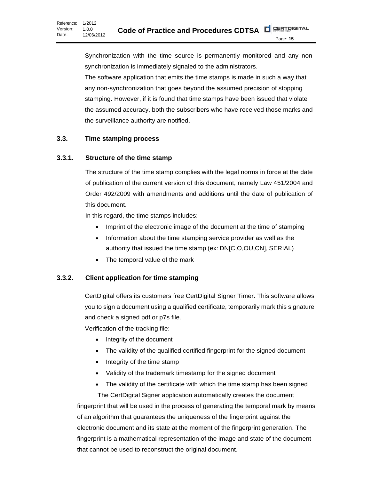Synchronization with the time source is permanently monitored and any nonsynchronization is immediately signaled to the administrators. The software application that emits the time stamps is made in such a way that any non-synchronization that goes beyond the assumed precision of stopping stamping. However, if it is found that time stamps have been issued that violate the assumed accuracy, both the subscribers who have received those marks and the surveillance authority are notified.

#### <span id="page-14-0"></span>**3.3. Time stamping process**

#### <span id="page-14-1"></span>**3.3.1. Structure of the time stamp**

The structure of the time stamp complies with the legal norms in force at the date of publication of the current version of this document, namely Law 451/2004 and Order 492/2009 with amendments and additions until the date of publication of this document.

In this regard, the time stamps includes:

- Imprint of the electronic image of the document at the time of stamping
- Information about the time stamping service provider as well as the authority that issued the time stamp (ex: DN[C,O,OU,CN], SERIAL)
- The temporal value of the mark

# <span id="page-14-2"></span>**3.3.2. Client application for time stamping**

CertDigital offers its customers free CertDigital Signer Timer. This software allows you to sign a document using a qualified certificate, temporarily mark this signature and check a signed pdf or p7s file.

Verification of the tracking file:

- Integrity of the document
- The validity of the qualified certified fingerprint for the signed document
- Integrity of the time stamp
- Validity of the trademark timestamp for the signed document
- The validity of the certificate with which the time stamp has been signed The CertDigital Signer application automatically creates the document

fingerprint that will be used in the process of generating the temporal mark by means of an algorithm that guarantees the uniqueness of the fingerprint against the electronic document and its state at the moment of the fingerprint generation. The fingerprint is a mathematical representation of the image and state of the document that cannot be used to reconstruct the original document.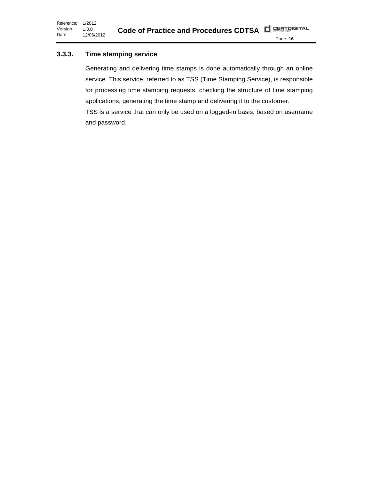Reference: 1/2012 Version: Date: 1.0.0 12/06/2012

Page: **16**

# <span id="page-15-0"></span>**3.3.3. Time stamping service**

Generating and delivering time stamps is done automatically through an online service. This service, referred to as TSS (Time Stamping Service), is responsible for processing time stamping requests, checking the structure of time stamping applications, generating the time stamp and delivering it to the customer. TSS is a service that can only be used on a logged-in basis, based on username and password.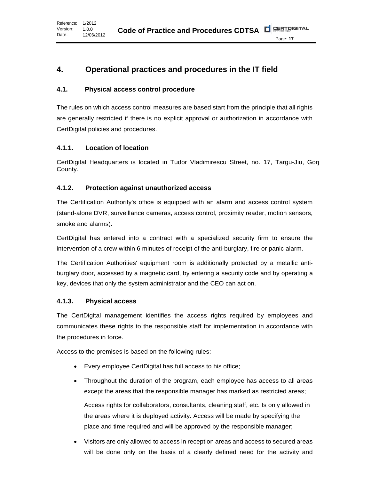# <span id="page-16-0"></span>**4. Operational practices and procedures in the IT field**

#### <span id="page-16-1"></span>**4.1. Physical access control procedure**

The rules on which access control measures are based start from the principle that all rights are generally restricted if there is no explicit approval or authorization in accordance with CertDigital policies and procedures.

#### <span id="page-16-2"></span>**4.1.1. Location of location**

CertDigital Headquarters is located in Tudor Vladimirescu Street, no. 17, Targu-Jiu, Gorj County.

#### <span id="page-16-3"></span>**4.1.2. Protection against unauthorized access**

The Certification Authority's office is equipped with an alarm and access control system (stand-alone DVR, surveillance cameras, access control, proximity reader, motion sensors, smoke and alarms).

CertDigital has entered into a contract with a specialized security firm to ensure the intervention of a crew within 6 minutes of receipt of the anti-burglary, fire or panic alarm.

The Certification Authorities' equipment room is additionally protected by a metallic antiburglary door, accessed by a magnetic card, by entering a security code and by operating a key, devices that only the system administrator and the CEO can act on.

#### <span id="page-16-4"></span>**4.1.3. Physical access**

The CertDigital management identifies the access rights required by employees and communicates these rights to the responsible staff for implementation in accordance with the procedures in force.

Access to the premises is based on the following rules:

- Every employee CertDigital has full access to his office;
- Throughout the duration of the program, each employee has access to all areas except the areas that the responsible manager has marked as restricted areas; Access rights for collaborators, consultants, cleaning staff, etc. Is only allowed in the areas where it is deployed activity. Access will be made by specifying the place and time required and will be approved by the responsible manager;
- Visitors are only allowed to access in reception areas and access to secured areas will be done only on the basis of a clearly defined need for the activity and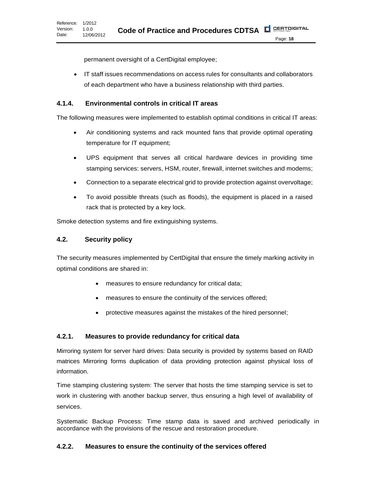permanent oversight of a CertDigital employee;

• IT staff issues recommendations on access rules for consultants and collaborators of each department who have a business relationship with third parties.

#### <span id="page-17-0"></span>**4.1.4. Environmental controls in critical IT areas**

The following measures were implemented to establish optimal conditions in critical IT areas:

- Air conditioning systems and rack mounted fans that provide optimal operating temperature for IT equipment;
- UPS equipment that serves all critical hardware devices in providing time stamping services: servers, HSM, router, firewall, internet switches and modems;
- Connection to a separate electrical grid to provide protection against overvoltage;
- To avoid possible threats (such as floods), the equipment is placed in a raised rack that is protected by a key lock.

Smoke detection systems and fire extinguishing systems.

#### <span id="page-17-1"></span>**4.2. Security policy**

The security measures implemented by CertDigital that ensure the timely marking activity in optimal conditions are shared in:

- measures to ensure redundancy for critical data;
- measures to ensure the continuity of the services offered;
- protective measures against the mistakes of the hired personnel;

#### <span id="page-17-2"></span>**4.2.1. Measures to provide redundancy for critical data**

Mirroring system for server hard drives: Data security is provided by systems based on RAID matrices Mirroring forms duplication of data providing protection against physical loss of information.

Time stamping clustering system: The server that hosts the time stamping service is set to work in clustering with another backup server, thus ensuring a high level of availability of services.

Systematic Backup Process: Time stamp data is saved and archived periodically in accordance with the provisions of the rescue and restoration procedure.

# <span id="page-17-3"></span>**4.2.2. Measures to ensure the continuity of the services offered**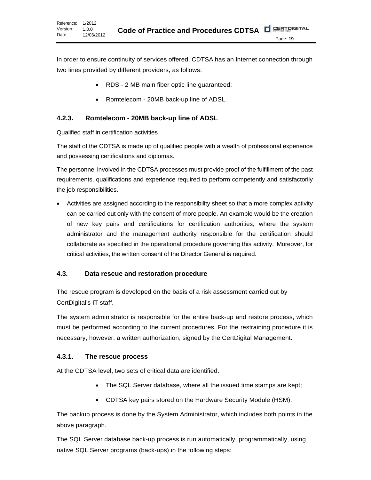In order to ensure continuity of services offered, CDTSA has an Internet connection through two lines provided by different providers, as follows:

- RDS 2 MB main fiber optic line guaranteed;
- Romtelecom 20MB back-up line of ADSL.

# <span id="page-18-0"></span>**4.2.3. Romtelecom - 20MB back-up line of ADSL**

Qualified staff in certification activities

The staff of the CDTSA is made up of qualified people with a wealth of professional experience and possessing certifications and diplomas.

The personnel involved in the CDTSA processes must provide proof of the fulfillment of the past requirements, qualifications and experience required to perform competently and satisfactorily the job responsibilities.

• Activities are assigned according to the responsibility sheet so that a more complex activity can be carried out only with the consent of more people. An example would be the creation of new key pairs and certifications for certification authorities, where the system administrator and the management authority responsible for the certification should collaborate as specified in the operational procedure governing this activity. Moreover, for critical activities, the written consent of the Director General is required.

# <span id="page-18-1"></span>**4.3. Data rescue and restoration procedure**

The rescue program is developed on the basis of a risk assessment carried out by CertDigital's IT staff.

The system administrator is responsible for the entire back-up and restore process, which must be performed according to the current procedures. For the restraining procedure it is necessary, however, a written authorization, signed by the CertDigital Management.

# <span id="page-18-2"></span>**4.3.1. The rescue process**

At the CDTSA level, two sets of critical data are identified.

- The SQL Server database, where all the issued time stamps are kept;
- CDTSA key pairs stored on the Hardware Security Module (HSM).

The backup process is done by the System Administrator, which includes both points in the above paragraph.

The SQL Server database back-up process is run automatically, programmatically, using native SQL Server programs (back-ups) in the following steps: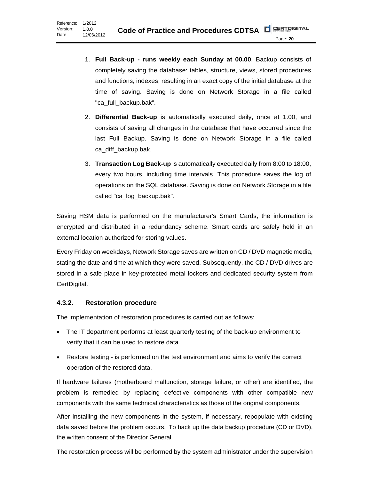- 1. **Full Back-up - runs weekly each Sunday at 00.00**. Backup consists of completely saving the database: tables, structure, views, stored procedures and functions, indexes, resulting in an exact copy of the initial database at the time of saving. Saving is done on Network Storage in a file called "ca\_full\_backup.bak".
- 2. **Differential Back-up** is automatically executed daily, once at 1.00, and consists of saving all changes in the database that have occurred since the last Full Backup. Saving is done on Network Storage in a file called ca\_diff\_backup.bak.
- 3. **Transaction Log Back-up** is automatically executed daily from 8:00 to 18:00, every two hours, including time intervals. This procedure saves the log of operations on the SQL database. Saving is done on Network Storage in a file called "ca\_log\_backup.bak".

Saving HSM data is performed on the manufacturer's Smart Cards, the information is encrypted and distributed in a redundancy scheme. Smart cards are safely held in an external location authorized for storing values.

Every Friday on weekdays, Network Storage saves are written on CD / DVD magnetic media, stating the date and time at which they were saved. Subsequently, the CD / DVD drives are stored in a safe place in key-protected metal lockers and dedicated security system from CertDigital.

#### <span id="page-19-0"></span>**4.3.2. Restoration procedure**

The implementation of restoration procedures is carried out as follows:

- The IT department performs at least quarterly testing of the back-up environment to verify that it can be used to restore data.
- Restore testing is performed on the test environment and aims to verify the correct operation of the restored data.

If hardware failures (motherboard malfunction, storage failure, or other) are identified, the problem is remedied by replacing defective components with other compatible new components with the same technical characteristics as those of the original components.

After installing the new components in the system, if necessary, repopulate with existing data saved before the problem occurs. To back up the data backup procedure (CD or DVD), the written consent of the Director General.

The restoration process will be performed by the system administrator under the supervision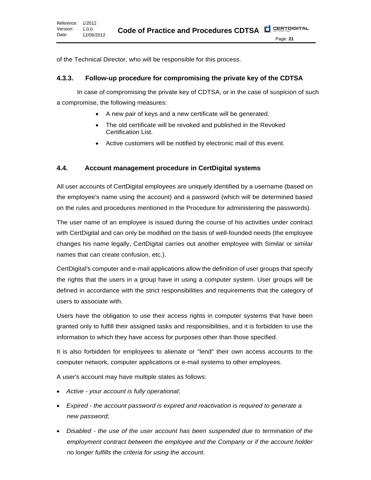of the Technical Director, who will be responsible for this process.

#### <span id="page-20-0"></span>**4.3.3. Follow-up procedure for compromising the private key of the CDTSA**

In case of compromising the private key of CDTSA, or in the case of suspicion of such a compromise, the following measures:

- A new pair of keys and a new certificate will be generated.
- The old certificate will be revoked and published in the Revoked Certification List.
- Active customers will be notified by electronic mail of this event.

#### <span id="page-20-1"></span>**4.4. Account management procedure in CertDigital systems**

All user accounts of CertDigital employees are uniquely identified by a username (based on the employee's name using the account) and a password (which will be determined based on the rules and procedures mentioned in the Procedure for administering the passwords).

The user name of an employee is issued during the course of his activities under contract with CertDigital and can only be modified on the basis of well-founded needs (the employee changes his name legally, CertDigital carries out another employee with Similar or similar names that can create confusion, etc.).

CertDigital's computer and e-mail applications allow the definition of user groups that specify the rights that the users in a group have in using a computer system. User groups will be defined in accordance with the strict responsibilities and requirements that the category of users to associate with.

Users have the obligation to use their access rights in computer systems that have been granted only to fulfill their assigned tasks and responsibilities, and it is forbidden to use the information to which they have access for purposes other than those specified.

It is also forbidden for employees to alienate or "lend" their own access accounts to the computer network, computer applications or e-mail systems to other employees.

A user's account may have multiple states as follows:

- *Active - your account is fully operational*;
- *Expired - the account password is expired and reactivation is required to generate a new password*;
- *Disabled - the use of the user account has been suspended due to termination of the employment contract between the employee and the Company or if the account holder no longer fulfills the criteria for using the account*.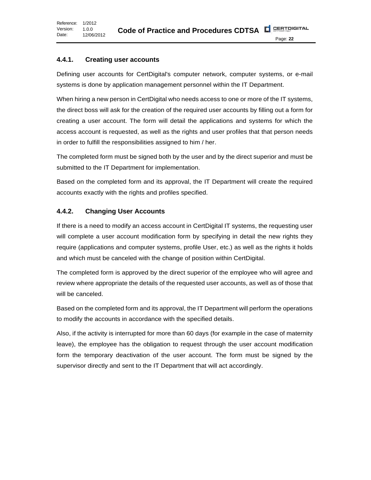#### <span id="page-21-0"></span>**4.4.1. Creating user accounts**

Defining user accounts for CertDigital's computer network, computer systems, or e-mail systems is done by application management personnel within the IT Department.

When hiring a new person in CertDigital who needs access to one or more of the IT systems, the direct boss will ask for the creation of the required user accounts by filling out a form for creating a user account. The form will detail the applications and systems for which the access account is requested, as well as the rights and user profiles that that person needs in order to fulfill the responsibilities assigned to him / her.

The completed form must be signed both by the user and by the direct superior and must be submitted to the IT Department for implementation.

Based on the completed form and its approval, the IT Department will create the required accounts exactly with the rights and profiles specified.

#### <span id="page-21-1"></span>**4.4.2. Changing User Accounts**

If there is a need to modify an access account in CertDigital IT systems, the requesting user will complete a user account modification form by specifying in detail the new rights they require (applications and computer systems, profile User, etc.) as well as the rights it holds and which must be canceled with the change of position within CertDigital.

The completed form is approved by the direct superior of the employee who will agree and review where appropriate the details of the requested user accounts, as well as of those that will be canceled.

Based on the completed form and its approval, the IT Department will perform the operations to modify the accounts in accordance with the specified details.

Also, if the activity is interrupted for more than 60 days (for example in the case of maternity leave), the employee has the obligation to request through the user account modification form the temporary deactivation of the user account. The form must be signed by the supervisor directly and sent to the IT Department that will act accordingly.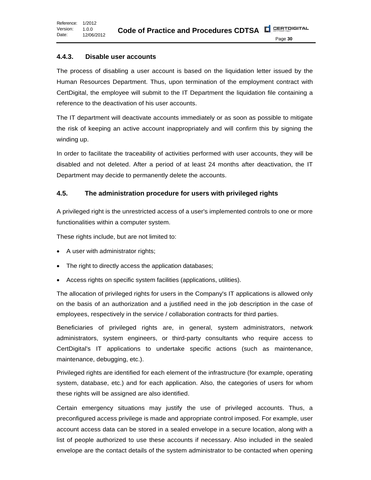#### <span id="page-22-0"></span>**4.4.3. Disable user accounts**

The process of disabling a user account is based on the liquidation letter issued by the Human Resources Department. Thus, upon termination of the employment contract with CertDigital, the employee will submit to the IT Department the liquidation file containing a reference to the deactivation of his user accounts.

The IT department will deactivate accounts immediately or as soon as possible to mitigate the risk of keeping an active account inappropriately and will confirm this by signing the winding up.

In order to facilitate the traceability of activities performed with user accounts, they will be disabled and not deleted. After a period of at least 24 months after deactivation, the IT Department may decide to permanently delete the accounts.

#### <span id="page-22-1"></span>**4.5. The administration procedure for users with privileged rights**

A privileged right is the unrestricted access of a user's implemented controls to one or more functionalities within a computer system.

These rights include, but are not limited to:

- A user with administrator rights;
- The right to directly access the application databases;
- Access rights on specific system facilities (applications, utilities).

The allocation of privileged rights for users in the Company's IT applications is allowed only on the basis of an authorization and a justified need in the job description in the case of employees, respectively in the service / collaboration contracts for third parties.

Beneficiaries of privileged rights are, in general, system administrators, network administrators, system engineers, or third-party consultants who require access to CertDigital's IT applications to undertake specific actions (such as maintenance, maintenance, debugging, etc.).

Privileged rights are identified for each element of the infrastructure (for example, operating system, database, etc.) and for each application. Also, the categories of users for whom these rights will be assigned are also identified.

Certain emergency situations may justify the use of privileged accounts. Thus, a preconfigured access privilege is made and appropriate control imposed. For example, user account access data can be stored in a sealed envelope in a secure location, along with a list of people authorized to use these accounts if necessary. Also included in the sealed envelope are the contact details of the system administrator to be contacted when opening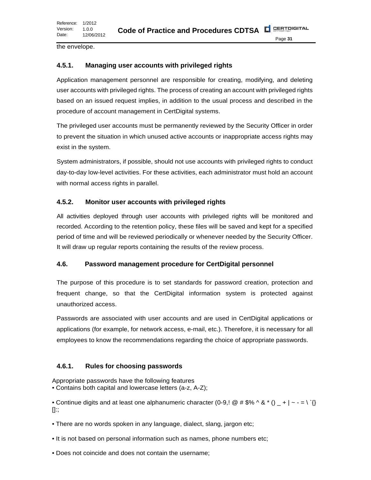the envelope.

#### <span id="page-23-0"></span>**4.5.1. Managing user accounts with privileged rights**

Application management personnel are responsible for creating, modifying, and deleting user accounts with privileged rights. The process of creating an account with privileged rights based on an issued request implies, in addition to the usual process and described in the procedure of account management in CertDigital systems.

The privileged user accounts must be permanently reviewed by the Security Officer in order to prevent the situation in which unused active accounts or inappropriate access rights may exist in the system.

System administrators, if possible, should not use accounts with privileged rights to conduct day-to-day low-level activities. For these activities, each administrator must hold an account with normal access rights in parallel.

#### <span id="page-23-1"></span>**4.5.2. Monitor user accounts with privileged rights**

All activities deployed through user accounts with privileged rights will be monitored and recorded. According to the retention policy, these files will be saved and kept for a specified period of time and will be reviewed periodically or whenever needed by the Security Officer. It will draw up regular reports containing the results of the review process.

#### <span id="page-23-2"></span>**4.6. Password management procedure for CertDigital personnel**

The purpose of this procedure is to set standards for password creation, protection and frequent change, so that the CertDigital information system is protected against unauthorized access.

Passwords are associated with user accounts and are used in CertDigital applications or applications (for example, for network access, e-mail, etc.). Therefore, it is necessary for all employees to know the recommendations regarding the choice of appropriate passwords.

#### <span id="page-23-3"></span>**4.6.1. Rules for choosing passwords**

Appropriate passwords have the following features • Contains both capital and lowercase letters (a-z, A-Z);

• Continue digits and at least one alphanumeric character (0-9,!  $\omega$  # \$% ^ & \* ()  $_+$  | ~ - = \ `{} []:;

- There are no words spoken in any language, dialect, slang, jargon etc;
- It is not based on personal information such as names, phone numbers etc;
- Does not coincide and does not contain the username;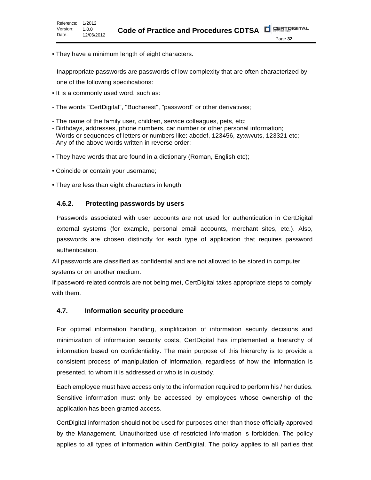• They have a minimum length of eight characters.

Inappropriate passwords are passwords of low complexity that are often characterized by one of the following specifications:

- It is a commonly used word, such as:
- The words "CertDigital", "Bucharest", "password" or other derivatives;
- The name of the family user, children, service colleagues, pets, etc;
- Birthdays, addresses, phone numbers, car number or other personal information;
- Words or sequences of letters or numbers like: abcdef, 123456, zyxwvuts, 123321 etc;
- Any of the above words written in reverse order;
- They have words that are found in a dictionary (Roman, English etc);
- Coincide or contain your username;
- They are less than eight characters in length.

#### <span id="page-24-0"></span>**4.6.2. Protecting passwords by users**

Passwords associated with user accounts are not used for authentication in CertDigital external systems (for example, personal email accounts, merchant sites, etc.). Also, passwords are chosen distinctly for each type of application that requires password authentication.

All passwords are classified as confidential and are not allowed to be stored in computer systems or on another medium.

If password-related controls are not being met, CertDigital takes appropriate steps to comply with them.

#### <span id="page-24-1"></span>**4.7. Information security procedure**

For optimal information handling, simplification of information security decisions and minimization of information security costs, CertDigital has implemented a hierarchy of information based on confidentiality. The main purpose of this hierarchy is to provide a consistent process of manipulation of information, regardless of how the information is presented, to whom it is addressed or who is in custody.

Each employee must have access only to the information required to perform his / her duties. Sensitive information must only be accessed by employees whose ownership of the application has been granted access.

CertDigital information should not be used for purposes other than those officially approved by the Management. Unauthorized use of restricted information is forbidden. The policy applies to all types of information within CertDigital. The policy applies to all parties that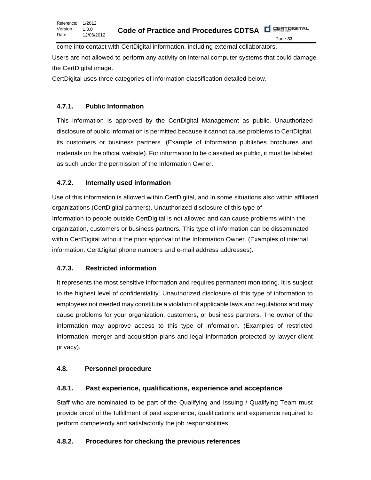come into contact with CertDigital information, including external collaborators. Users are not allowed to perform any activity on internal computer systems that could damage the CertDigital image.

CertDigital uses three categories of information classification detailed below.

# <span id="page-25-0"></span>**4.7.1. Public Information**

This information is approved by the CertDigital Management as public. Unauthorized disclosure of public information is permitted because it cannot cause problems to CertDigital, its customers or business partners. (Example of information publishes brochures and materials on the official website). For information to be classified as public, it must be labeled as such under the permission of the Information Owner.

# <span id="page-25-1"></span>**4.7.2. Internally used information**

Use of this information is allowed within CertDigital, and in some situations also within affiliated organizations (CertDigital partners). Unauthorized disclosure of this type of Information to people outside CertDigital is not allowed and can cause problems within the organization, customers or business partners. This type of information can be disseminated within CertDigital without the prior approval of the Information Owner. (Examples of internal information: CertDigital phone numbers and e-mail address addresses).

# <span id="page-25-2"></span>**4.7.3. Restricted information**

It represents the most sensitive information and requires permanent monitoring. It is subject to the highest level of confidentiality. Unauthorized disclosure of this type of information to employees not needed may constitute a violation of applicable laws and regulations and may cause problems for your organization, customers, or business partners. The owner of the information may approve access to this type of information. (Examples of restricted information: merger and acquisition plans and legal information protected by lawyer-client privacy).

# <span id="page-25-3"></span>**4.8. Personnel procedure**

# <span id="page-25-4"></span>**4.8.1. Past experience, qualifications, experience and acceptance**

Staff who are nominated to be part of the Qualifying and Issuing / Qualifying Team must provide proof of the fulfillment of past experience, qualifications and experience required to perform competently and satisfactorily the job responsibilities.

# <span id="page-25-5"></span>**4.8.2. Procedures for checking the previous references**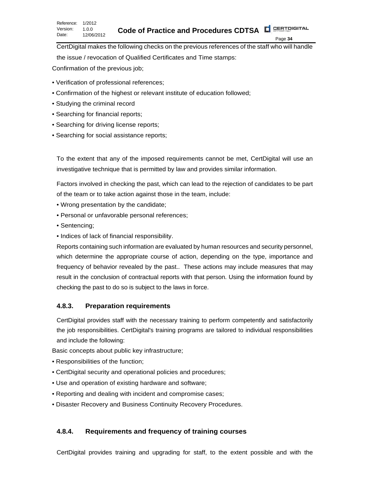CertDigital makes the following checks on the previous references of the staff who will handle the issue / revocation of Qualified Certificates and Time stamps:

Confirmation of the previous job;

- Verification of professional references;
- Confirmation of the highest or relevant institute of education followed;
- Studying the criminal record
- Searching for financial reports;
- Searching for driving license reports;
- Searching for social assistance reports;

To the extent that any of the imposed requirements cannot be met, CertDigital will use an investigative technique that is permitted by law and provides similar information.

Factors involved in checking the past, which can lead to the rejection of candidates to be part of the team or to take action against those in the team, include:

- Wrong presentation by the candidate;
- Personal or unfavorable personal references;
- Sentencing;
- Indices of lack of financial responsibility.

Reports containing such information are evaluated by human resources and security personnel, which determine the appropriate course of action, depending on the type, importance and frequency of behavior revealed by the past.. These actions may include measures that may result in the conclusion of contractual reports with that person. Using the information found by checking the past to do so is subject to the laws in force.

# <span id="page-26-0"></span>**4.8.3. Preparation requirements**

CertDigital provides staff with the necessary training to perform competently and satisfactorily the job responsibilities. CertDigital's training programs are tailored to individual responsibilities and include the following:

Basic concepts about public key infrastructure;

- Responsibilities of the function;
- CertDigital security and operational policies and procedures;
- Use and operation of existing hardware and software;
- Reporting and dealing with incident and compromise cases;
- Disaster Recovery and Business Continuity Recovery Procedures.

# <span id="page-26-1"></span>**4.8.4. Requirements and frequency of training courses**

CertDigital provides training and upgrading for staff, to the extent possible and with the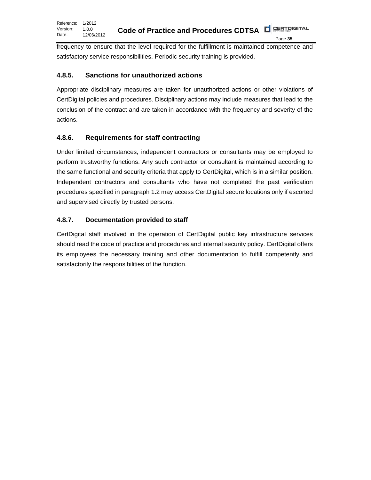frequency to ensure that the level required for the fulfillment is maintained competence and satisfactory service responsibilities. Periodic security training is provided.

# <span id="page-27-0"></span>**4.8.5. Sanctions for unauthorized actions**

Appropriate disciplinary measures are taken for unauthorized actions or other violations of CertDigital policies and procedures. Disciplinary actions may include measures that lead to the conclusion of the contract and are taken in accordance with the frequency and severity of the actions.

# <span id="page-27-1"></span>**4.8.6. Requirements for staff contracting**

Under limited circumstances, independent contractors or consultants may be employed to perform trustworthy functions. Any such contractor or consultant is maintained according to the same functional and security criteria that apply to CertDigital, which is in a similar position. Independent contractors and consultants who have not completed the past verification procedures specified in paragraph 1.2 may access CertDigital secure locations only if escorted and supervised directly by trusted persons.

# <span id="page-27-2"></span>**4.8.7. Documentation provided to staff**

CertDigital staff involved in the operation of CertDigital public key infrastructure services should read the code of practice and procedures and internal security policy. CertDigital offers its employees the necessary training and other documentation to fulfill competently and satisfactorily the responsibilities of the function.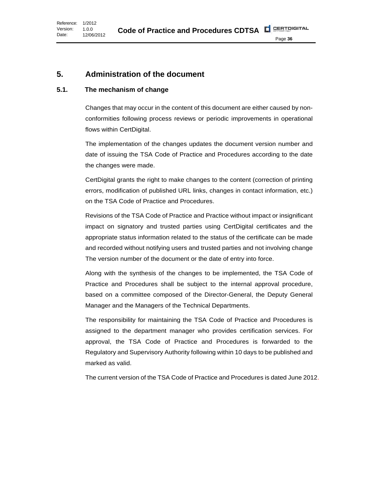# <span id="page-28-0"></span>**5. Administration of the document**

# <span id="page-28-1"></span>**5.1. The mechanism of change**

Changes that may occur in the content of this document are either caused by nonconformities following process reviews or periodic improvements in operational flows within CertDigital.

The implementation of the changes updates the document version number and date of issuing the TSA Code of Practice and Procedures according to the date the changes were made.

CertDigital grants the right to make changes to the content (correction of printing errors, modification of published URL links, changes in contact information, etc.) on the TSA Code of Practice and Procedures.

Revisions of the TSA Code of Practice and Practice without impact or insignificant impact on signatory and trusted parties using CertDigital certificates and the appropriate status information related to the status of the certificate can be made and recorded without notifying users and trusted parties and not involving change The version number of the document or the date of entry into force.

Along with the synthesis of the changes to be implemented, the TSA Code of Practice and Procedures shall be subject to the internal approval procedure, based on a committee composed of the Director-General, the Deputy General Manager and the Managers of the Technical Departments.

The responsibility for maintaining the TSA Code of Practice and Procedures is assigned to the department manager who provides certification services. For approval, the TSA Code of Practice and Procedures is forwarded to the Regulatory and Supervisory Authority following within 10 days to be published and marked as valid.

The current version of the TSA Code of Practice and Procedures is dated June 2012.